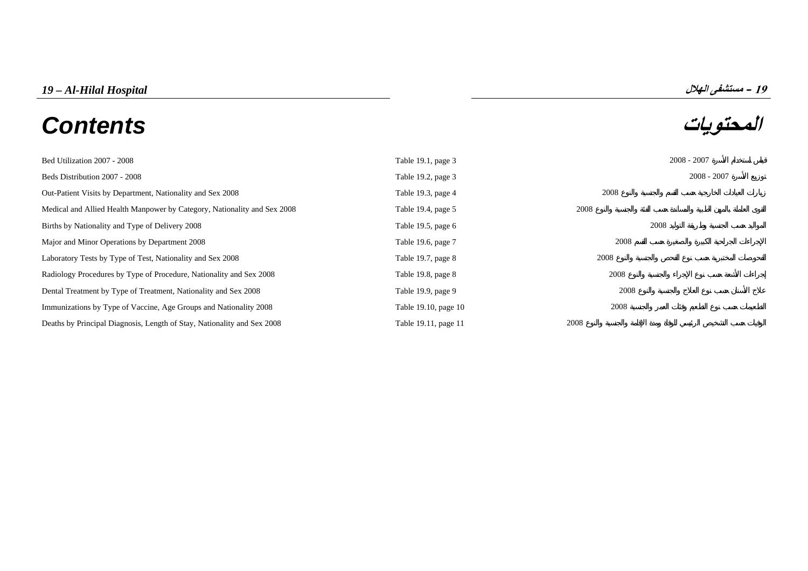# *19 – Al-Hilal Hospital* **الهلال مستشفى – <sup>19</sup> المحتويات** *Contents*



| Bed Utilization 2007 - 2008                                              | Table 19.1, page 3   | $2008 - 2007$ |               |
|--------------------------------------------------------------------------|----------------------|---------------|---------------|
| Beds Distribution 2007 - 2008                                            | Table 19.2, page 3   |               | $2008 - 2007$ |
| Out-Patient Visits by Department, Nationality and Sex 2008               | Table 19.3, page 4   | 2008          |               |
| Medical and Allied Health Manpower by Category, Nationality and Sex 2008 | Table 19.4, page 5   | 2008          |               |
| Births by Nationality and Type of Delivery 2008                          | Table 19.5, page 6   | 2008          |               |
| Major and Minor Operations by Department 2008                            | Table 19.6, page 7   | 2008          |               |
| Laboratory Tests by Type of Test, Nationality and Sex 2008               | Table 19.7, page 8   | 2008          |               |
| Radiology Procedures by Type of Procedure, Nationality and Sex 2008      | Table 19.8, page 8   | 2008          |               |
| Dental Treatment by Type of Treatment, Nationality and Sex 2008          | Table 19.9, page 9   | 2008          |               |
| Immunizations by Type of Vaccine, Age Groups and Nationality 2008        | Table 19.10, page 10 | 2008          |               |
| Deaths by Principal Diagnosis, Length of Stay, Nationality and Sex 2008  | Table 19.11, page 11 | 2008          |               |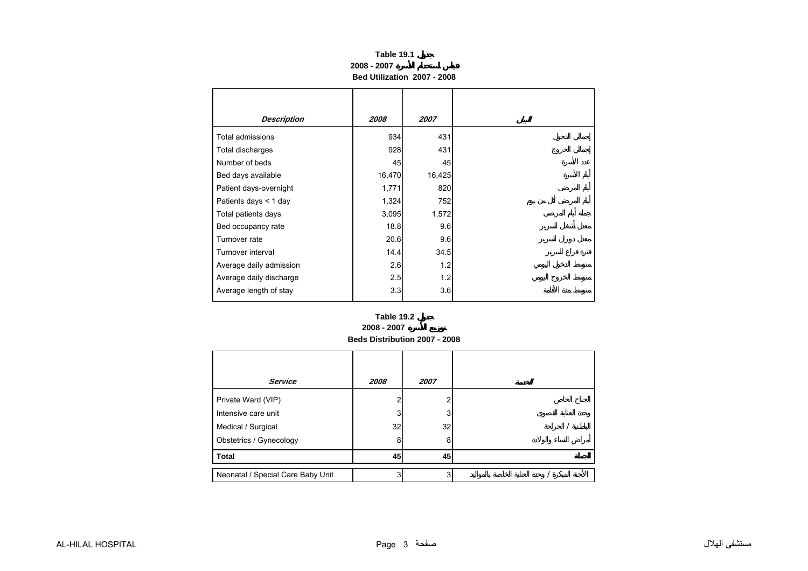### **2008 - 2007Bed Utilization 2007 - 2008 Table 19.1**

<span id="page-2-0"></span>

| <b>Description</b>      | 2008   | 2007   |
|-------------------------|--------|--------|
| Total admissions        | 934    | 431    |
| Total discharges        | 928    | 431    |
| Number of beds          | 45     | 45     |
| Bed days available      | 16,470 | 16,425 |
| Patient days-overnight  | 1,771  | 820    |
| Patients days $<$ 1 day | 1,324  | 752    |
| Total patients days     | 3,095  | 1,572  |
| Bed occupancy rate      | 18.8   | 9.6    |
| Turnover rate           | 20.6   | 9.6    |
| Turnover interval       | 14.4   | 34.5   |
| Average daily admission | 2.6    | 1.2    |
| Average daily discharge | 2.5    | 1.2    |
| Average length of stay  | 3.3    | 3.6    |

### **Beds Distribution 2007 - 2008 Table 19.22008 - 2007**

| <b>Service</b>                    | 2008 | 2007 |  |
|-----------------------------------|------|------|--|
| Private Ward (VIP)                |      |      |  |
| Intensive care unit               |      |      |  |
| Medical / Surgical                | 32   | 32   |  |
| Obstetrics / Gynecology           | 8    | 8    |  |
| <b>Total</b>                      | 45   | 45   |  |
| Neonatal / Special Care Baby Unit | ົ    |      |  |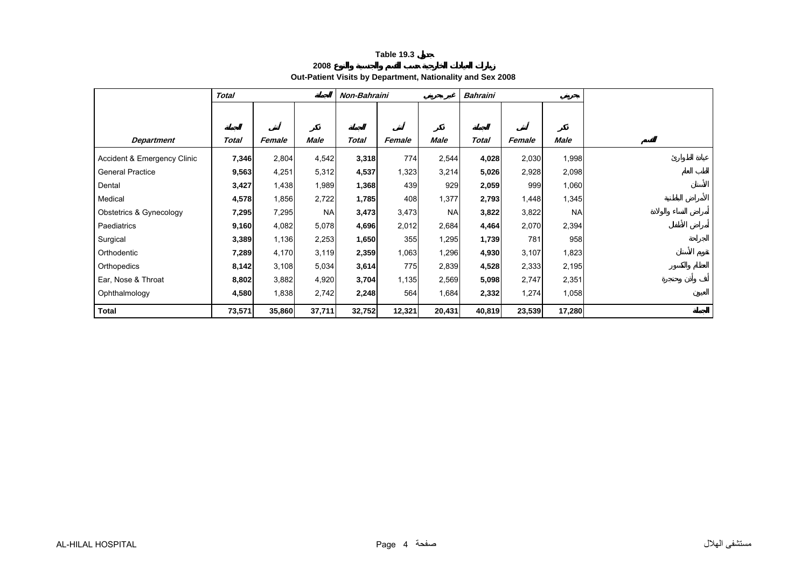**2008**

# **Out-Patient Visits by Department, Nationality and Sex 2008**

<span id="page-3-0"></span>

|                             | <b>Total</b> |        |             | Non-Bahraini |        |             | <b>Bahraini</b> |        |           |  |
|-----------------------------|--------------|--------|-------------|--------------|--------|-------------|-----------------|--------|-----------|--|
|                             |              |        |             |              |        |             |                 |        |           |  |
|                             |              |        |             |              |        |             |                 |        |           |  |
| <b>Department</b>           | <b>Total</b> | Female | <b>Male</b> | <b>Total</b> | Female | <b>Male</b> | <b>Total</b>    | Female | Male      |  |
| Accident & Emergency Clinic | 7,346        | 2,804  | 4,542       | 3,318        | 774    | 2,544       | 4,028           | 2,030  | 1,998     |  |
| <b>General Practice</b>     | 9,563        | 4,251  | 5,312       | 4,537        | 1,323  | 3,214       | 5,026           | 2,928  | 2,098     |  |
| Dental                      | 3,427        | 1,438  | 1,989       | 1,368        | 439    | 929         | 2,059           | 999    | 1,060     |  |
| Medical                     | 4,578        | 1,856  | 2,722       | 1,785        | 408    | 1,377       | 2,793           | 1,448  | 1,345     |  |
| Obstetrics & Gynecology     | 7,295        | 7,295  | <b>NA</b>   | 3,473        | 3,473  | <b>NA</b>   | 3,822           | 3,822  | <b>NA</b> |  |
| Paediatrics                 | 9,160        | 4,082  | 5,078       | 4,696        | 2,012  | 2,684       | 4,464           | 2,070  | 2,394     |  |
| Surgical                    | 3,389        | 1,136  | 2,253       | 1,650        | 355    | 1,295       | 1,739           | 781    | 958       |  |
| Orthodentic                 | 7,289        | 4,170  | 3,119       | 2,359        | 1,063  | 1,296       | 4,930           | 3,107  | 1,823     |  |
| Orthopedics                 | 8,142        | 3,108  | 5,034       | 3,614        | 775    | 2,839       | 4,528           | 2,333  | 2,195     |  |
| Ear, Nose & Throat          | 8,802        | 3,882  | 4,920       | 3,704        | 1,135  | 2,569       | 5,098           | 2,747  | 2,351     |  |
| Ophthalmology               | 4,580        | 1,838  | 2,742       | 2,248        | 564    | 1,684       | 2,332           | 1,274  | 1,058     |  |
| <b>Total</b>                | 73,571       | 35,860 | 37,711      | 32,752       | 12,321 | 20,431      | 40,819          | 23,539 | 17,280    |  |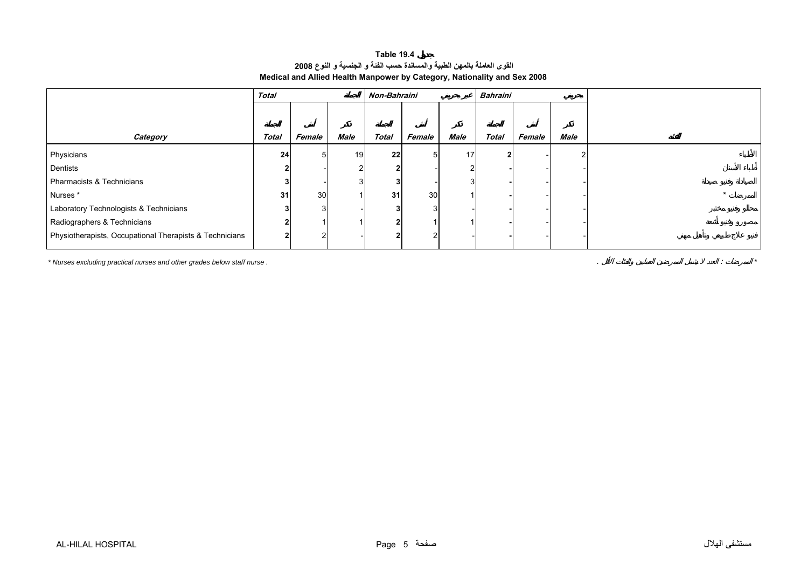### **القوى العاملة بالمهن الطبية والمساندة حسب الفئة <sup>و</sup> الجنسية <sup>و</sup> النوع <sup>2008</sup> Medical and Allied Health Manpower by Category, Nationality and Sex 2008 Table 19.4**

<span id="page-4-0"></span>

|                                                         | <b>Total</b> |        |        | Non-Bahraini |        |      | Bahraini     |        |      |  |
|---------------------------------------------------------|--------------|--------|--------|--------------|--------|------|--------------|--------|------|--|
|                                                         |              |        |        |              |        |      |              |        |      |  |
| Category                                                | <b>Total</b> | Female | Male   | <b>Total</b> | Female | Male | <b>Total</b> | Female | Male |  |
| Physicians                                              | 24           | 5      | 19     | 22           | 5      | 17   |              |        |      |  |
| Dentists                                                |              |        | $\sim$ |              |        |      |              |        |      |  |
| Pharmacists & Technicians                               |              |        |        |              |        |      |              |        |      |  |
| Nurses*                                                 | 31           | 30     |        | 31           | 30     |      |              |        |      |  |
| Laboratory Technologists & Technicians                  |              | 3      |        |              | 3      |      |              |        |      |  |
| Radiographers & Technicians                             |              |        |        |              |        |      |              |        |      |  |
| Physiotherapists, Occupational Therapists & Technicians |              |        |        |              | າ      |      |              |        |      |  |

*\* Nurses excluding practical nurses and other grades below staff nurse .* . : *\**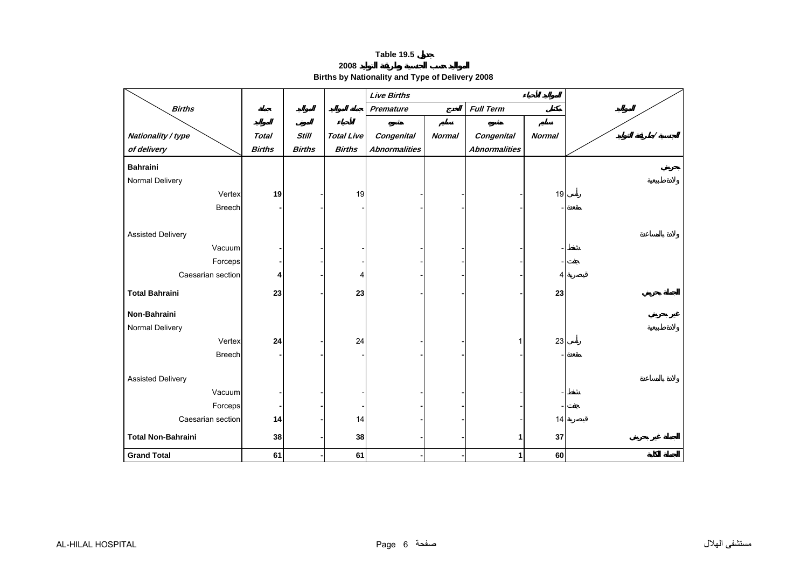**2008**

**Births by Nationality and Type of Delivery 2008** 

<span id="page-5-0"></span>

|                           |               |               |                   | <b>Live Births</b>   |               |                      |               |  |
|---------------------------|---------------|---------------|-------------------|----------------------|---------------|----------------------|---------------|--|
| <b>Births</b>             |               |               |                   | Premature            |               | <b>Full Term</b>     |               |  |
|                           |               |               |                   |                      |               |                      |               |  |
| Nationality / type        | <b>Total</b>  | <b>Still</b>  | <b>Total Live</b> | Congenital           | <b>Normal</b> | Congenital           | <b>Normal</b> |  |
| of delivery               | <b>Births</b> | <b>Births</b> | <b>Births</b>     | <b>Abnormalities</b> |               | <b>Abnormalities</b> |               |  |
| <b>Bahraini</b>           |               |               |                   |                      |               |                      |               |  |
| Normal Delivery           |               |               |                   |                      |               |                      |               |  |
| Vertex                    | 19            |               | 19                |                      |               |                      | 19            |  |
| <b>Breech</b>             |               |               |                   |                      |               |                      |               |  |
|                           |               |               |                   |                      |               |                      |               |  |
| <b>Assisted Delivery</b>  |               |               |                   |                      |               |                      |               |  |
| Vacuum                    |               |               |                   |                      |               |                      |               |  |
| Forceps                   |               |               |                   |                      |               |                      |               |  |
| Caesarian section         |               |               | Δ                 |                      |               |                      | Δ             |  |
| <b>Total Bahraini</b>     | 23            |               | 23                |                      |               |                      | 23            |  |
|                           |               |               |                   |                      |               |                      |               |  |
| Non-Bahraini              |               |               |                   |                      |               |                      |               |  |
| Normal Delivery           |               |               |                   |                      |               |                      |               |  |
| Vertex                    | 24            |               | 24                |                      |               |                      | 23            |  |
| <b>Breech</b>             |               |               |                   |                      |               |                      |               |  |
|                           |               |               |                   |                      |               |                      |               |  |
| <b>Assisted Delivery</b>  |               |               |                   |                      |               |                      |               |  |
| Vacuum                    |               |               |                   |                      |               |                      |               |  |
| Forceps                   |               |               |                   |                      |               |                      |               |  |
| Caesarian section         | 14            |               | 14                |                      |               |                      | 14            |  |
| <b>Total Non-Bahraini</b> | 38            |               | 38                |                      |               | 1                    | 37            |  |
| <b>Grand Total</b>        | 61            |               | 61                |                      |               | 1                    | 60            |  |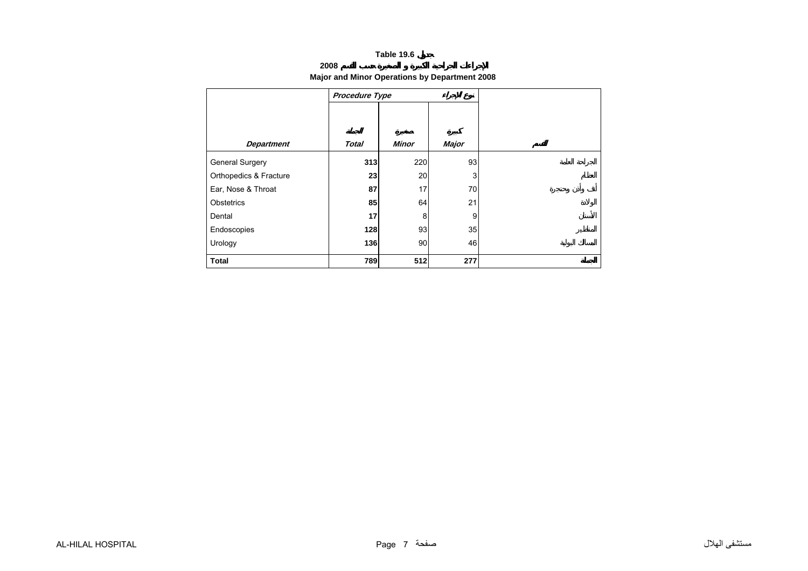### **2008**

### **Major and Minor Operations by Department 2008**

<span id="page-6-0"></span>

|                        | Procedure Type |              |              |
|------------------------|----------------|--------------|--------------|
|                        |                |              |              |
| <b>Department</b>      | <b>Total</b>   | <b>Minor</b> | <b>Major</b> |
| General Surgery        | 313            | 220          | 93           |
| Orthopedics & Fracture | 23             | 20           | 3            |
| Ear, Nose & Throat     | 87             | 17           | 70           |
| Obstetrics             | 85             | 64           | 21           |
| Dental                 | 17             | 8            | 9            |
| Endoscopies            | 128            | 93           | 35           |
| Urology                | 136            | 90           | 46           |
| <b>Total</b>           | 789            | 512          | 277          |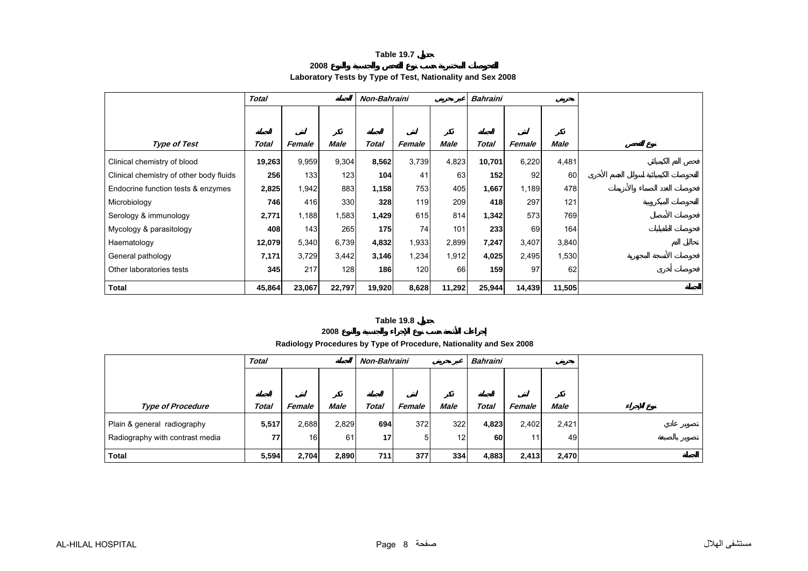**2008**

### **Laboratory Tests by Type of Test, Nationality and Sex 2008**

<span id="page-7-0"></span>

|                                         | <b>Total</b> |        |        | Non-Bahraini |        |        | <b>Bahraini</b> |        |             |  |
|-----------------------------------------|--------------|--------|--------|--------------|--------|--------|-----------------|--------|-------------|--|
|                                         |              |        |        |              |        |        |                 |        |             |  |
|                                         |              |        |        |              |        |        |                 |        |             |  |
| <b>Type of Test</b>                     | Total        | Female | Male   | <b>Total</b> | Female | Male   | <b>Total</b>    | Female | <b>Male</b> |  |
| Clinical chemistry of blood             | 19,263       | 9,959  | 9,304  | 8,562        | 3,739  | 4,823  | 10,701          | 6,220  | 4,481       |  |
| Clinical chemistry of other body fluids | 256          | 133    | 123    | 104          | 41     | 63     | 152             | 92     | 60          |  |
| Endocrine function tests & enzymes      | 2,825        | 1,942  | 883    | 1,158        | 753    | 405    | 1,667           | 1,189  | 478         |  |
| Microbiology                            | 746          | 416    | 330    | 328          | 119    | 209    | 418             | 297    | 121         |  |
| Serology & immunology                   | 2,771        | 1,188  | 1,583  | 1,429        | 615    | 814    | 1,342           | 573    | 769         |  |
| Mycology & parasitology                 | 408          | 143    | 265    | 175          | 74     | 101    | 233             | 69     | 164         |  |
| Haematology                             | 12,079       | 5,340  | 6,739  | 4,832        | 1,933  | 2,899  | 7,247           | 3,407  | 3,840       |  |
| General pathology                       | 7,171        | 3,729  | 3,442  | 3,146        | 1,234  | 1,912  | 4,025           | 2,495  | 1,530       |  |
| Other laboratories tests                | 345          | 217    | 128    | 186          | 120    | 66     | 159             | 97     | 62          |  |
| <b>Total</b>                            | 45,864       | 23,067 | 22,797 | 19,920       | 8,628  | 11,292 | 25,944          | 14,439 | 11,505      |  |

### **Table 19.8**

**2008**

### **Radiology Procedures by Type of Procedure, Nationality and Sex 2008**

|                                 | <b>Total</b> |        |             |              | <b>Bahraini</b><br>Non-Bahraini |             |              |        |             |  |
|---------------------------------|--------------|--------|-------------|--------------|---------------------------------|-------------|--------------|--------|-------------|--|
|                                 |              |        |             |              |                                 |             |              |        |             |  |
|                                 |              |        |             |              |                                 |             |              |        |             |  |
| <b>Type of Procedure</b>        | <b>Total</b> | Female | <b>Male</b> | <b>Total</b> | Female                          | <b>Male</b> | <b>Total</b> | Female | <b>Male</b> |  |
| Plain & general radiography     | 5,517        | 2,688  | 2,829       | 694          | 372                             | 322         | 4,823        | 2,402  | 2,421       |  |
| Radiography with contrast media | 77           | 16     | 61          | 17           | 5                               | 12          | 60           | 11     | 49          |  |
| <b>Total</b>                    | 5,594        | 2,704  | 2,890       | 711          | 377                             | 334         | 4,883        | 2,413  | 2,470       |  |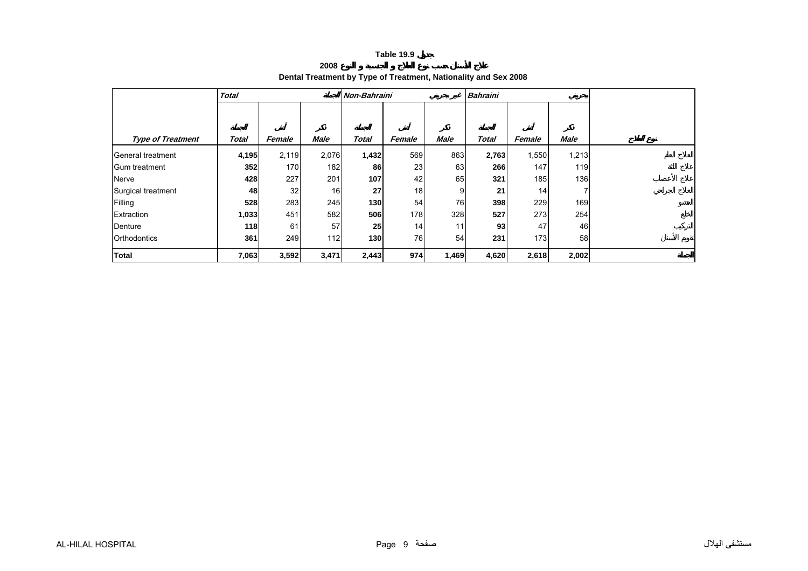### **2008Dental Treatment by Type of Treatment, Nationality and Sex 2008**

<span id="page-8-0"></span>

|                          | <b>Total</b> |        |             | Non-Bahraini |        |             | <b>Bahraini</b> |                 |             |  |
|--------------------------|--------------|--------|-------------|--------------|--------|-------------|-----------------|-----------------|-------------|--|
|                          |              |        |             |              |        |             |                 |                 |             |  |
|                          |              |        |             |              |        |             |                 |                 |             |  |
| <b>Type of Treatment</b> | Total        | Female | <b>Male</b> | <b>Total</b> | Female | <b>Male</b> | <b>Total</b>    | Female          | <b>Male</b> |  |
| General treatment        | 4,195        | 2,119  | 2,076       | 1,432        | 569    | 863         | 2,763           | 1,550           | 1,213       |  |
| Gum treatment            | 352          | 170    | 182         | 86           | 23     | 63          | 266             | 147             | 119         |  |
| Nerve                    | 428          | 227    | 201         | 107          | 42     | 65          | 321             | 185             | 136         |  |
| Surgical treatment       | 48           | 32     | 16          | 27           | 18     | 9           | 21              | 14 <sup>1</sup> |             |  |
| Filling                  | 528          | 283    | 245         | 130          | 54     | 76          | 398             | 229             | 169         |  |
| Extraction               | 1,033        | 451    | 582         | 506          | 178    | 328         | 527             | 273             | 254         |  |
| Denture                  | 118          | 61     | 57          | 25           | 14     | 11          | 93              | 47              | 46          |  |
| Orthodontics             | 361          | 249    | 112         | 130          | 76     | 54          | 231             | 173             | 58          |  |
| <b>Total</b>             | 7,063        | 3,592  | 3,471       | 2,443        | 974    | 1,469       | 4,620           | 2,618           | 2,002       |  |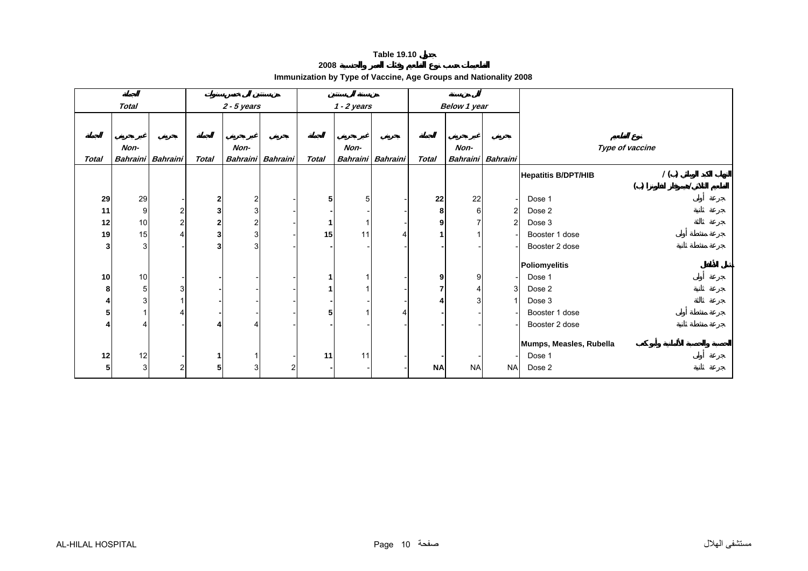**2008**

| Immunization by Type of Vaccine, Age Groups and Nationality 2008 |  |  |  |
|------------------------------------------------------------------|--|--|--|
|------------------------------------------------------------------|--|--|--|

<span id="page-9-0"></span>

|                         | Total |                          |              | $2 - 5$ years |                 |              | $1 - 2$ years |                   |              | <b>Below 1 year</b> |                 |                                   |
|-------------------------|-------|--------------------------|--------------|---------------|-----------------|--------------|---------------|-------------------|--------------|---------------------|-----------------|-----------------------------------|
|                         |       |                          |              |               |                 |              |               |                   |              |                     |                 |                                   |
|                         | Non-  |                          |              | Non-          |                 |              | Non-          |                   |              | Non-                |                 | Type of vaccine                   |
| <b>Total</b>            |       | Bahraini Bahraini        | <b>Total</b> | Bahraini      | <b>Bahraini</b> | <b>Total</b> |               | Bahraini Bahraini | <b>Total</b> | <b>Bahraini</b>     | <b>Bahraini</b> |                                   |
|                         |       |                          |              |               |                 |              |               |                   |              |                     |                 | 1()<br><b>Hepatitis B/DPT/HIB</b> |
|                         |       |                          |              |               |                 |              |               |                   |              |                     |                 | ( )                               |
| 29                      | 29    | $\overline{\phantom{a}}$ | $\mathbf 2$  | 2             |                 | 5            |               |                   | 22           | 22                  |                 | Dose 1                            |
| 11                      | 9     | $\mathbf{2}$             | 3            | 3             |                 |              |               |                   | 8            | 6                   | $\overline{c}$  | Dose 2                            |
| 12                      | $10$  | $\overline{a}$           | $\mathbf{2}$ |               |                 |              |               |                   | 9            |                     | $\overline{2}$  | Dose 3                            |
| 19                      | 15    | 4                        | 3            |               |                 | 15           | 11            |                   |              |                     |                 | Booster 1 dose                    |
| $\overline{\mathbf{3}}$ | 3     |                          | 3            | 3             |                 |              |               |                   |              |                     |                 | Booster 2 dose                    |
|                         |       |                          |              |               |                 |              |               |                   |              |                     |                 | Poliomyelitis                     |
| 10                      | 10    | $\overline{\phantom{a}}$ |              |               |                 |              |               |                   | 9            | 9                   |                 | Dose 1                            |
| 8                       | 5     | 3 <sup>1</sup>           |              |               |                 |              |               |                   |              |                     | 3 <sup>1</sup>  | Dose 2                            |
|                         |       |                          |              |               |                 |              |               |                   |              |                     |                 | Dose 3                            |
| 5                       |       |                          |              |               |                 | 5            |               |                   |              |                     |                 | Booster 1 dose                    |
|                         |       |                          | Δ            |               |                 |              |               |                   |              |                     |                 | Booster 2 dose                    |
|                         |       |                          |              |               |                 |              |               |                   |              |                     |                 | Mumps, Measles, Rubella           |
| 12                      | 12    |                          | 1            |               |                 | 11           | 11            |                   |              |                     |                 | Dose 1                            |
| 5                       | 3     | $\overline{a}$           | 5            |               | 2               |              |               |                   | <b>NA</b>    | <b>NA</b>           | <b>NA</b>       | Dose 2                            |